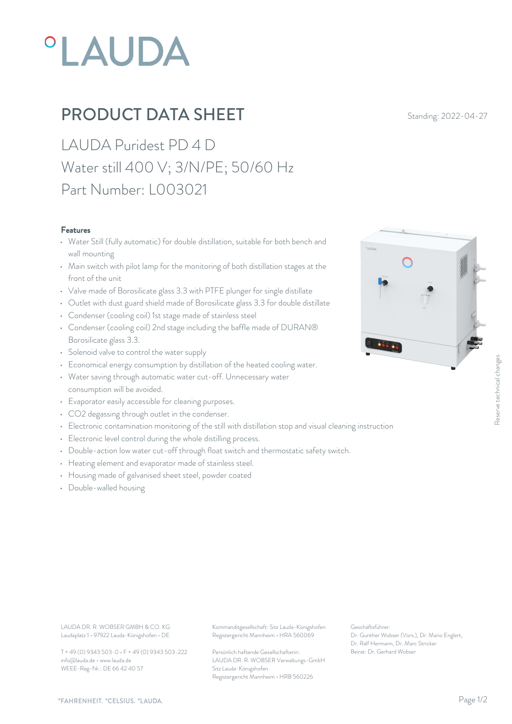# *OLAUDA*

## PRODUCT DATA SHEET Standing: 2022-04-27

LAUDA Puridest PD 4 D Water still 400 V; 3/N/PE; 50/60 Hz Part Number: L003021

#### Features

- Water Still (fully automatic) for double distillation, suitable for both bench and wall mounting
- Main switch with pilot lamp for the monitoring of both distillation stages at the front of the unit
- Valve made of Borosilicate glass 3.3 with PTFE plunger for single distillate
- Outlet with dust guard shield made of Borosilicate glass 3.3 for double distillate
- Condenser (cooling coil) 1st stage made of stainless steel
- Condenser (cooling coil) 2nd stage including the baffle made of DURAN® Borosilicate glass 3.3.
- Solenoid valve to control the water supply
- Economical energy consumption by distillation of the heated cooling water.
- Water saving through automatic water cut-off. Unnecessary water consumption will be avoided. • Economical energy consumption by distillation of the heated cooling water.<br>• Water saving through automatic water cut-off. Unnecessary water<br>• Evaporator easily accessible for cleaning purposes.<br>• CO2 degassing through o
- Evaporator easily accessible for cleaning purposes.
- CO2 degassing through outlet in the condenser.
- 
- Electronic level control during the whole distilling process.
- Double-action low water cut-off through float switch and thermostatic safety switch.
- Heating element and evaporator made of stainless steel.
- Housing made of galvanised sheet steel, powder coated
- Double-walled housing



LAUDA DR. R. WOBSER GMBH & CO. KG Kommanditgesellschaft: Sitz Lauda-Königshofen Geschäftsführer: Laudaplatz 1 • 97922 Lauda-Königshofen • DE

T + 49 (0) 9343 503-0 • F + 49 (0) 9343 503-222 info@lauda.de • www.lauda.de WEEE-Reg-Nr.: DE 66 42 40 57

Registergericht Mannheim • HRA 560069

Persönlich haftende Gesellschafterin: Beirat: Dr. Gerhard Wobse LAUDA DR. R. WOBSER Verwaltungs-GmbH Sitz Lauda-Königshofen Registergericht Mannheim • HRB 560226

Geschäftsführer: Dr. Gunther Wobser (Vors.), Dr. Mario Englert, Dr. Ralf Hermann, Dr. Marc Stricker Beschäftsführer:<br>Beischäftsführer:<br>Dr. Gunther Wobser (Vors.), Dr. Mario Englert,<br>Dr. Ralf Hermann, Dr. Marc Stricker<br>Beirat: Dr. Gerhard Wobser